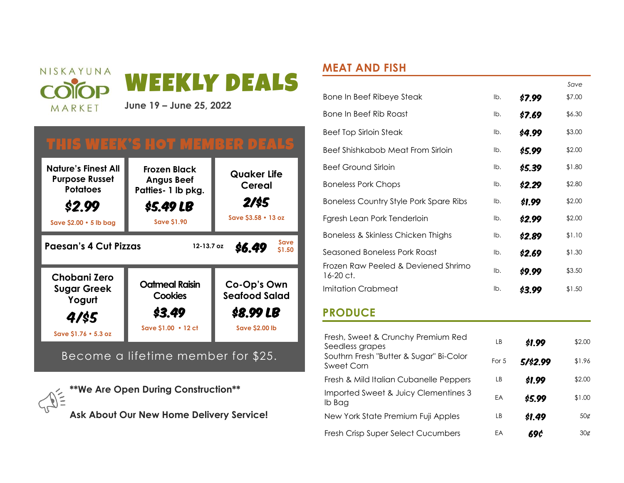

# THIS WEEK'S HOT MEMBER DEALS



Become a lifetime member for \$25.

**\*\*We Are Open During Construction\*\* Ask About Our New Home Delivery Service!**

## **MEAT AND FISH**

|                                                  |     |        | Save   |
|--------------------------------------------------|-----|--------|--------|
| Bone In Beef Ribeye Steak                        | lb. | \$7.99 | \$7.00 |
| Bone In Beef Rib Roast                           | lb. | \$7.69 | \$6.30 |
| <b>Beef Top Sirloin Steak</b>                    | lb. | \$4.99 | \$3.00 |
| Beef Shishkabob Meat From Sirloin                | lb. | \$5.99 | \$2.00 |
| Beef Ground Sirloin                              | lb. | \$5.39 | \$1.80 |
| <b>Boneless Pork Chops</b>                       | lb. | \$2.29 | \$2.80 |
| <b>Boneless Country Style Pork Spare Ribs</b>    | lb. | \$1.99 | \$2.00 |
| Fgresh Lean Pork Tenderloin                      | lb. | \$2.99 | \$2.00 |
| Boneless & Skinless Chicken Thighs               | lb. | \$2.89 | \$1.10 |
| Seasoned Boneless Pork Roast                     | lb. | \$2.69 | \$1.30 |
| Frozen Raw Peeled & Deviened Shrimo<br>16-20 ct. | lb. | \$9.99 | \$3.50 |
| Imitation Crabmeat                               | lb. | S3.99  | \$1.50 |

### **PRODUCE**

| Fresh, Sweet & Crunchy Premium Red<br>Seedless grapes | LB    | \$1.99   | \$2.00          |
|-------------------------------------------------------|-------|----------|-----------------|
| Southrn Fresh "Butter & Sugar" Bi-Color<br>Sweet Corn | For 5 | 5/\$2.99 | \$1.96          |
| Fresh & Mild Italian Cubanelle Peppers                | LB    | \$1.99   | \$2.00          |
| Imported Sweet & Juicy Clementines 3<br>lb Bag        | EA    | \$5.99   | \$1.00          |
| New York State Premium Fuji Apples                    | LB    | \$1.49   | $50\sigma$      |
| Fresh Crisp Super Select Cucumbers                    | EA    | 69¢      | $30\mathcal{C}$ |